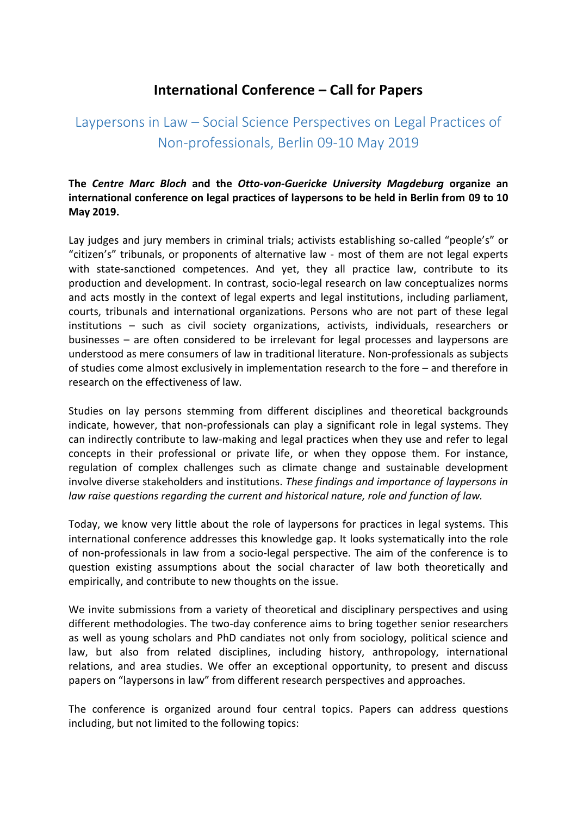## **International Conference – Call for Papers**

## Laypersons in Law – Social Science Perspectives on Legal Practices of Non-professionals, Berlin 09-10 May 2019

**The** *Centre Marc Bloch* **and the** *Otto-von-Guericke University Magdeburg* **organize an international conference on legal practices of laypersons to be held in Berlin from 09 to 10 May 2019.**

Lay judges and jury members in criminal trials; activists establishing so-called "people's" or "citizen's" tribunals, or proponents of alternative law - most of them are not legal experts with state-sanctioned competences. And yet, they all practice law, contribute to its production and development. In contrast, socio-legal research on law conceptualizes norms and acts mostly in the context of legal experts and legal institutions, including parliament, courts, tribunals and international organizations. Persons who are not part of these legal institutions – such as civil society organizations, activists, individuals, researchers or businesses – are often considered to be irrelevant for legal processes and laypersons are understood as mere consumers of law in traditional literature. Non-professionals as subjects of studies come almost exclusively in implementation research to the fore – and therefore in research on the effectiveness of law.

Studies on lay persons stemming from different disciplines and theoretical backgrounds indicate, however, that non-professionals can play a significant role in legal systems. They can indirectly contribute to law-making and legal practices when they use and refer to legal concepts in their professional or private life, or when they oppose them. For instance, regulation of complex challenges such as climate change and sustainable development involve diverse stakeholders and institutions. *These findings and importance of laypersons in law raise questions regarding the current and historical nature, role and function of law.* 

Today, we know very little about the role of laypersons for practices in legal systems. This international conference addresses this knowledge gap. It looks systematically into the role of non-professionals in law from a socio-legal perspective. The aim of the conference is to question existing assumptions about the social character of law both theoretically and empirically, and contribute to new thoughts on the issue.

We invite submissions from a variety of theoretical and disciplinary perspectives and using different methodologies. The two-day conference aims to bring together senior researchers as well as young scholars and PhD candiates not only from sociology, political science and law, but also from related disciplines, including history, anthropology, international relations, and area studies. We offer an exceptional opportunity, to present and discuss papers on "laypersons in law" from different research perspectives and approaches.

The conference is organized around four central topics. Papers can address questions including, but not limited to the following topics: